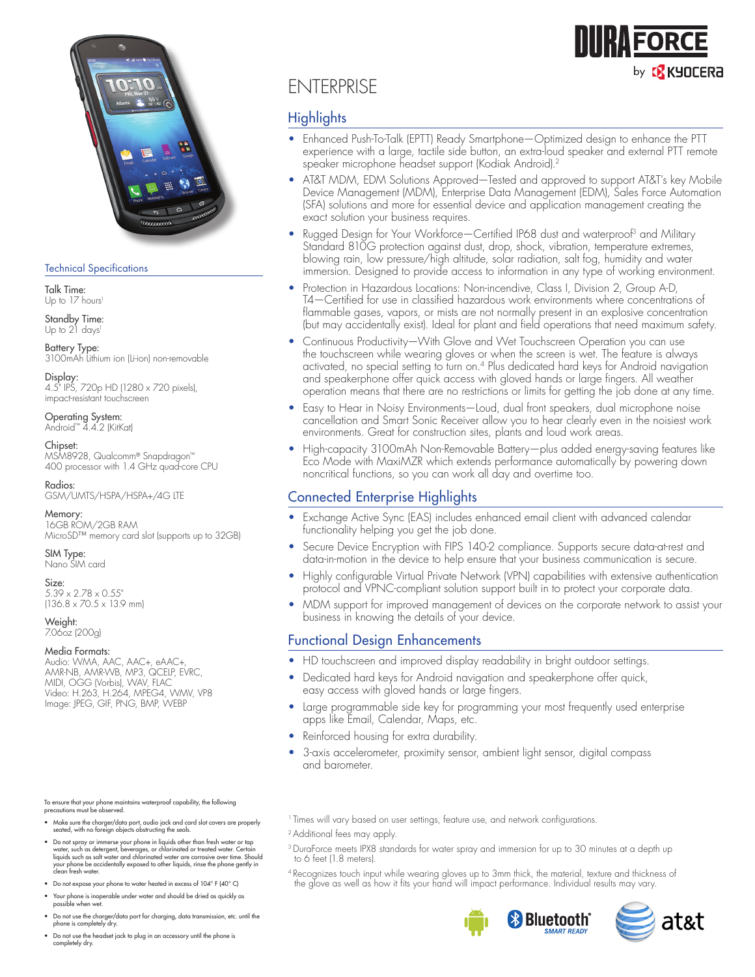

### Technical Specifications

Talk Time: Up to 17 hours<sup>1</sup>

Standby Time: Up to 21 days<sup>1</sup>

Battery Type: 3100mAh Lithium ion (Li-ion) non-removable

Display: 4.5" IPS, 720p HD (1280 x 720 pixels), impact-resistant touchscreen

Operating System: Android™ 4.4.2 (KitKat)

### Chipset:

MSM8928, Qualcomm® Snapdragon™ 400 processor with 1.4 GHz quad-core CPU

Radios: GSM/UMTS/HSPA/HSPA+/4G LTE

Memory: 16GB ROM/2GB RAM MicroSD™ memory card slot (supports up to 32GB)

SIM Type: Nano SIM card

Size: 5.39 x 2.78 x 0.55"

 $(136.8 \times 70.5 \times 13.9 \text{ mm})$ 

Weight: 7.06oz (200g)

#### Media Formats:

Audio: WMA, AAC, AAC+, eAAC+, AMR-NB, AMR-WB, MP3, QCELP, EVRC, MIDI, OGG (Vorbis), WAV, FLAC Video: H.263, H.264, MPEG4, WMV, VP8 Image: JPEG, GIF, PNG, BMP, WEBP

To ensure that your phone maintains waterproof capability, the following precautions must be observed.

- Make sure the charger/data port, audio jack and card slot covers are properly seated, with no foreign objects obstructing the seals.
- Do not spray or immerse your phone in liquids other than fresh water or tap<br>water, such as detergent, beverages, or chlorinated or treated water. Certain<br>liquids such as salt water and chlorinated water are corrosive over your phone be accidentally exposed to other liquids, rinse the phone gently in clean fresh water.
- Do not expose your phone to water heated in excess of 104° F (40° C)
- Your phone is inoperable under water and should be dried as quickly as possible when wet.
- Do not use the charger/data port for charging, data transmission, etc. until the phone is completely dry.
- Do not use the headset jack to plug in an accessory until the phone is completely dry.

# ENTERPRISE

# **Highlights**

• Enhanced Push-To-Talk (EPTT) Ready Smartphone—Optimized design to enhance the PTT experience with a large, tactile side button, an extra-loud speaker and external PTT remote speaker microphone headset support (Kodiak Android).2

**IRA FORCE** 

by **13 KYOCERA** 

- AT&T MDM, EDM Solutions Approved—Tested and approved to support AT&T's key Mobile Device Management (MDM), Enterprise Data Management (EDM), Sales Force Automation (SFA) solutions and more for essential device and application management creating the exact solution your business requires.
- Rugged Design for Your Workforce—Certified IP68 dust and waterproof<sup>3</sup> and Military Standard 810G protection against dust, drop, shock, vibration, temperature extremes, blowing rain, low pressure/high altitude, solar radiation, salt fog, humidity and water immersion. Designed to provide access to information in any type of working environment.
- Protection in Hazardous Locations: Non-incendive, Class I, Division 2, Group A-D, T4—Certified for use in classified hazardous work environments where concentrations of flammable gases, vapors, or mists are not normally present in an explosive concentration (but may accidentally exist). Ideal for plant and field operations that need maximum safety.
- Continuous Productivity—With Glove and Wet Touchscreen Operation you can use the touchscreen while wearing gloves or when the screen is wet. The feature is always activated, no special setting to turn on.<sup>4</sup> Plus dedicated hard keys for Android navigation and speakerphone offer quick access with gloved hands or large fingers. All weather operation means that there are no restrictions or limits for getting the job done at any time.
- Easy to Hear in Noisy Environments—Loud, dual front speakers, dual microphone noise cancellation and Smart Sonic Receiver allow you to hear clearly even in the noisiest work environments. Great for construction sites, plants and loud work areas.
- High-capacity 3100mAh Non-Removable Battery—plus added energy-saving features like Eco Mode with MaxiMZR which extends performance automatically by powering down noncritical functions, so you can work all day and overtime too.

# Connected Enterprise Highlights

- Exchange Active Sync (EAS) includes enhanced email client with advanced calendar functionality helping you get the job done.
- Secure Device Encryption with FIPS 140-2 compliance. Supports secure data-at-rest and data-in-motion in the device to help ensure that your business communication is secure.
- Highly configurable Virtual Private Network (VPN) capabilities with extensive authentication protocol and VPNC-compliant solution support built in to protect your corporate data.
- MDM support for improved management of devices on the corporate network to assist your business in knowing the details of your device.

# Functional Design Enhancements

- HD touchscreen and improved display readability in bright outdoor settings.
- Dedicated hard keys for Android navigation and speakerphone offer quick, easy access with gloved hands or large fingers.
- Large programmable side key for programming your most frequently used enterprise apps like Email, Calendar, Maps, etc.
- Reinforced housing for extra durability.
- 3-axis accelerometer, proximity sensor, ambient light sensor, digital compass and barometer.
- <sup>1</sup> Times will vary based on user settings, feature use, and network configurations.
- 2 Additional fees may apply.
- <sup>3</sup> DuraForce meets IPX8 standards for water spray and immersion for up to 30 minutes at a depth up to 6 feet (1.8 meters).
- 4 Recognizes touch input while wearing gloves up to 3mm thick, the material, texture and thickness of the glove as well as how it fits your hand will impact performance. Individual results may vary.